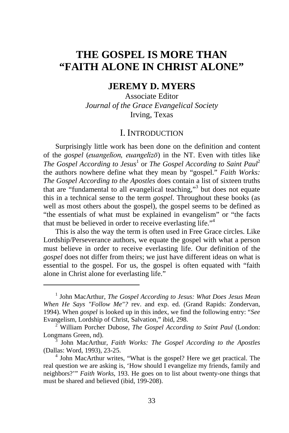# **THE GOSPEL IS MORE THAN "FAITH ALONE IN CHRIST ALONE"**

## **JEREMY D. MYERS**

Associate Editor *Journal of the Grace Evangelical Society*  Irving, Texas

### I. INTRODUCTION

Surprisingly little work has been done on the definition and content of the *gospel* (euangelion, euangelizo) in the NT. Even with titles like *The Gospel According to Jesus*<sup>1</sup> or *The Gospel According to Saint Paul*<sup>2</sup> the authors nowhere define what they mean by "gospel." *Faith Works: The Gospel According to the Apostles* does contain a list of sixteen truths that are "fundamental to all evangelical teaching,"3 but does not equate this in a technical sense to the term *gospel*. Throughout these books (as well as most others about the gospel), the gospel seems to be defined as "the essentials of what must be explained in evangelism" or "the facts that must be believed in order to receive everlasting life."<sup>4</sup>

This is also the way the term is often used in Free Grace circles. Like Lordship/Perseverance authors, we equate the gospel with what a person must believe in order to receive everlasting life. Our definition of the *gospel* does not differ from theirs; we just have different ideas on what is essential to the gospel. For us, the gospel is often equated with "faith alone in Christ alone for everlasting life."

<sup>&</sup>lt;sup>1</sup> John MacArthur, *The Gospel According to Jesus: What Does Jesus Mean When He Says "Follow Me"?* rev. and exp. ed. (Grand Rapids: Zondervan, 1994). When *gospel* is looked up in this index, we find the following entry: "*See*  Evangelism, Lordship of Christ, Salvation," ibid, 298. 2

William Porcher Dubose, *The Gospel According to Saint Paul* (London: Longmans Green, nd).

John MacArthur, *Faith Works: The Gospel According to the Apostles* (Dallas: Word, 1993), 23-25. 4

 $<sup>4</sup>$  John MacArthur writes, "What is the gospel? Here we get practical. The</sup> real question we are asking is, 'How should I evangelize my friends, family and neighbors?'" *Faith Works*, 193. He goes on to list about twenty-one things that must be shared and believed (ibid, 199-208).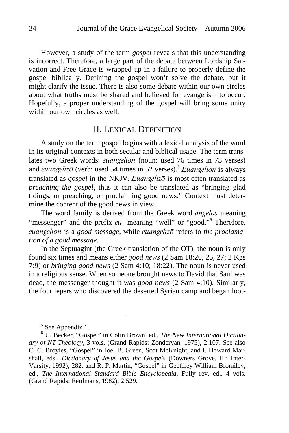However, a study of the term *gospel* reveals that this understanding is incorrect. Therefore, a large part of the debate between Lordship Salvation and Free Grace is wrapped up in a failure to properly define the gospel biblically. Defining the gospel won't solve the debate, but it might clarify the issue. There is also some debate within our own circles about what truths must be shared and believed for evangelism to occur. Hopefully, a proper understanding of the gospel will bring some unity within our own circles as well.

### II. LEXICAL DEFINITION

A study on the term gospel begins with a lexical analysis of the word in its original contexts in both secular and biblical usage. The term translates two Greek words: euangelion (noun: used 76 times in 73 verses) and *euangelizo* (verb: used 54 times in 52 verses).<sup>5</sup> Euangelion is always translated as *gospel* in the NKJV. Euangelizon is most often translated as *preaching the gospel,* thus it can also be translated as "bringing glad tidings, or preaching, or proclaiming good news." Context must determine the content of the good news in view.

The word family is derived from the Greek word *angelos* meaning "messenger" and the prefix eu- meaning "well" or "good."<sup>6</sup> Therefore, euangelion is a good message, while euangelizo refers to the proclama*tion of a good message.* 

In the Septuagint (the Greek translation of the OT), the noun is only found six times and means either *good news* (2 Sam 18:20, 25, 27; 2 Kgs 7:9) or *bringing good news* (2 Sam 4:10; 18:22). The noun is never used in a religious sense. When someone brought news to David that Saul was dead, the messenger thought it was *good news* (2 Sam 4:10). Similarly, the four lepers who discovered the deserted Syrian camp and began loot-

<sup>&</sup>lt;sup>5</sup> See Appendix 1.

<sup>6</sup> U. Becker, "Gospel" in Colin Brown, ed., *The New International Dictionary of NT Theology*, 3 vols. (Grand Rapids: Zondervan, 1975), 2:107. See also C. C. Broyles, "Gospel" in Joel B. Green, Scot McKnight, and I. Howard Marshall, eds., *Dictionary of Jesus and the Gospels* (Downers Grove, IL: Inter-Varsity, 1992), 282. and R. P. Martin, "Gospel" in Geoffrey William Bromiley, ed., *The International Standard Bible Encyclopedia*, Fully rev. ed., 4 vols. (Grand Rapids: Eerdmans, 1982), 2:529.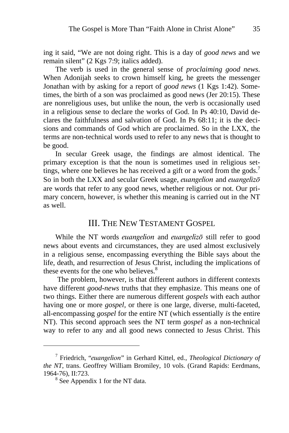ing it said, "We are not doing right. This is a day of *good news* and we remain silent" (2 Kgs 7:9; italics added).

The verb is used in the general sense of *proclaiming good news*. When Adonijah seeks to crown himself king, he greets the messenger Jonathan with by asking for a report of *good news* (1 Kgs 1:42). Sometimes, the birth of a son was proclaimed as good news (Jer 20:15). These are nonreligious uses, but unlike the noun, the verb is occasionally used in a religious sense to declare the works of God. In Ps 40:10, David declares the faithfulness and salvation of God. In Ps 68:11; it is the decisions and commands of God which are proclaimed. So in the LXX, the terms are non-technical words used to refer to any news that is thought to be good.

In secular Greek usage, the findings are almost identical. The primary exception is that the noun is sometimes used in religious settings, where one believes he has received a gift or a word from the gods.<sup>7</sup> So in both the LXX and secular Greek usage, *euangelion* and *euangelizo* are words that refer to any good news, whether religious or not. Our primary concern, however, is whether this meaning is carried out in the NT as well.

### III. THE NEW TESTAMENT GOSPEL

While the NT words *euangelion* and *euangelizo* still refer to good news about events and circumstances, they are used almost exclusively in a religious sense, encompassing everything the Bible says about the life, death, and resurrection of Jesus Christ, including the implications of these events for the one who believes.<sup>8</sup>

 The problem, however, is that different authors in different contexts have different *good-news* truths that they emphasize. This means one of two things. Either there are numerous different *gospels* with each author having one or more *gospel,* or there is one large, diverse, multi-faceted, all-encompassing *gospel* for the entire NT (which essentially *is* the entire NT). This second approach sees the NT term *gospel* as a non-technical way to refer to any and all good news connected to Jesus Christ. This

<sup>7</sup> Friedrich, "euangelion" in Gerhard Kittel, ed., *Theological Dictionary of the NT*, trans. Geoffrey William Bromiley, 10 vols. (Grand Rapids: Eerdmans, 1964-76), II:723. 8

<sup>&</sup>lt;sup>8</sup> See Appendix 1 for the NT data.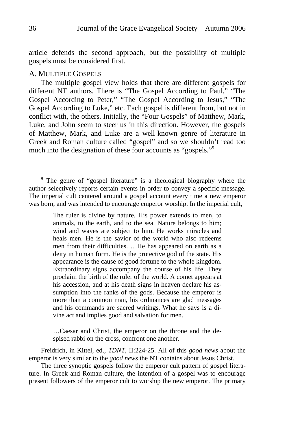article defends the second approach, but the possibility of multiple gospels must be considered first.

#### A. MULTIPLE GOSPELS

The multiple gospel view holds that there are different gospels for different NT authors. There is "The Gospel According to Paul," "The Gospel According to Peter," "The Gospel According to Jesus," "The Gospel According to Luke," etc. Each gospel is different from, but not in conflict with, the others. Initially, the "Four Gospels" of Matthew, Mark, Luke, and John seem to steer us in this direction. However, the gospels of Matthew, Mark, and Luke are a well-known genre of literature in Greek and Roman culture called "gospel" and so we shouldn't read too much into the designation of these four accounts as "gospels."<sup>9</sup>

The ruler is divine by nature. His power extends to men, to animals, to the earth, and to the sea. Nature belongs to him; wind and waves are subject to him. He works miracles and heals men. He is the savior of the world who also redeems men from their difficulties. …He has appeared on earth as a deity in human form. He is the protective god of the state. His appearance is the cause of good fortune to the whole kingdom. Extraordinary signs accompany the course of his life. They proclaim the birth of the ruler of the world. A comet appears at his accession, and at his death signs in heaven declare his assumption into the ranks of the gods. Because the emperor is more than a common man, his ordinances are glad messages and his commands are sacred writings. What he says is a divine act and implies good and salvation for men.

…Caesar and Christ, the emperor on the throne and the despised rabbi on the cross, confront one another.

Freidrich, in Kittel, ed., *TDNT*, II:224-25. All of this *good news* about the emperor is very similar to the *good news* the NT contains about Jesus Christ.

The three synoptic gospels follow the emperor cult pattern of gospel literature. In Greek and Roman culture, the intention of a gospel was to encourage present followers of the emperor cult to worship the new emperor. The primary

<sup>&</sup>lt;sup>9</sup> The genre of "gospel literature" is a theological biography where the author selectively reports certain events in order to convey a specific message. The imperial cult centered around a gospel account every time a new emperor was born, and was intended to encourage emperor worship. In the imperial cult,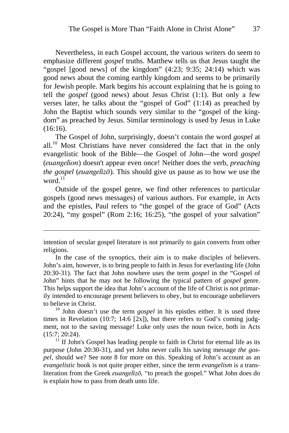Nevertheless, in each Gospel account, the various writers do seem to emphasize different *gospel* truths. Matthew tells us that Jesus taught the "gospel [good news] of the kingdom" (4:23; 9:35; 24:14) which was good news about the coming earthly kingdom and seems to be primarily for Jewish people. Mark begins his account explaining that he is going to tell the *gospel* (good news) about Jesus Christ (1:1). But only a few verses later, he talks about the "gospel of God" (1:14) as preached by John the Baptist which sounds very similar to the "gospel of the kingdom" as preached by Jesus. Similar terminology is used by Jesus in Luke (16:16).

The Gospel of John, surprisingly, doesn't contain the word *gospel* at all. $10$  Most Christians have never considered the fact that in the only evangelistic book of the Bible—the Gospel of John—the word *gospel*  (euangelion) doesn't appear even once! Neither does the verb, *preaching the gospel (euangelizo)*. This should give us pause as to how we use the word $11$ 

Outside of the gospel genre, we find other references to particular gospels (good news messages) of various authors. For example, in Acts and the epistles, Paul refers to "the gospel of the grace of God" (Acts 20:24), "my gospel" (Rom 2:16; 16:25), "the gospel of your salvation"

1

times in Revelation  $(10:7; 14:6 [2x])$ , but there refers to God's coming judgment, not to the saving message! Luke only uses the noun twice, both in Acts  $(15:7; 20:24)$ .<br><sup>11</sup> If John's Gospel has leading people to faith in Christ for eternal life as its

purpose (John 20:30-31), and yet John never calls his saving message *the gospel,* should we? See note 8 for more on this. Speaking of John's account as an *evangelistic* book is not quite proper either, since the term *evangelism* is a transliteration from the Greek *euangelizo*, "to preach the gospel." What John does do is explain how to pass from death unto life.

intention of secular gospel literature is not primarily to gain converts from other religions.

In the case of the synoptics, their aim is to make disciples of believers. John's aim, however, is to bring people to faith in Jesus for everlasting life (John 20:30-31). The fact that John nowhere uses the term *gospel* in the "Gospel of John" hints that he may not be following the typical pattern of *gospel* genre. This helps support the idea that John's account of the life of Christ is not primarily intended to encourage present believers to obey, but to encourage unbelievers to believe in Christ.<br><sup>10</sup> John doesn't use the term *gospel* in his epistles either. It is used three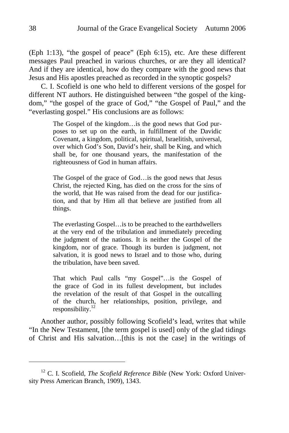(Eph 1:13), "the gospel of peace" (Eph 6:15), etc. Are these different messages Paul preached in various churches, or are they all identical? And if they are identical, how do they compare with the good news that Jesus and His apostles preached as recorded in the synoptic gospels?

C. I. Scofield is one who held to different versions of the gospel for different NT authors. He distinguished between "the gospel of the kingdom," "the gospel of the grace of God," "the Gospel of Paul," and the "everlasting gospel." His conclusions are as follows:

> The Gospel of the kingdom…is the good news that God purposes to set up on the earth, in fulfillment of the Davidic Covenant, a kingdom, political, spiritual, Israelitish, universal, over which God's Son, David's heir, shall be King, and which shall be, for one thousand years, the manifestation of the righteousness of God in human affairs.

> The Gospel of the grace of God…is the good news that Jesus Christ, the rejected King, has died on the cross for the sins of the world, that He was raised from the dead for our justification, and that by Him all that believe are justified from all things.

> The everlasting Gospel…is to be preached to the earthdwellers at the very end of the tribulation and immediately preceding the judgment of the nations. It is neither the Gospel of the kingdom, nor of grace. Though its burden is judgment, not salvation, it is good news to Israel and to those who, during the tribulation, have been saved.

> That which Paul calls "my Gospel"…is the Gospel of the grace of God in its fullest development, but includes the revelation of the result of that Gospel in the outcalling of the church, her relationships, position, privilege, and responsibility.<sup>12</sup>

Another author, possibly following Scofield's lead, writes that while "In the New Testament, [the term gospel is used] only of the glad tidings of Christ and His salvation…[this is not the case] in the writings of

<sup>&</sup>lt;sup>12</sup> C. I. Scofield, *The Scofield Reference Bible* (New York: Oxford University Press American Branch, 1909), 1343.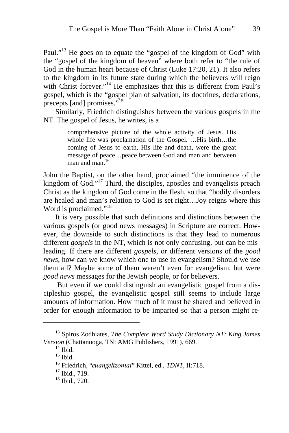Paul."<sup>13</sup> He goes on to equate the "gospel of the kingdom of God" with the "gospel of the kingdom of heaven" where both refer to "the rule of God in the human heart because of Christ (Luke 17:20, 21). It also refers to the kingdom in its future state during which the believers will reign with Christ forever."<sup>14</sup> He emphasizes that this is different from Paul's gospel, which is the "gospel plan of salvation, its doctrines, declarations, precepts [and] promises."<sup>15</sup>

Similarly, Friedrich distinguishes between the various gospels in the NT. The gospel of Jesus, he writes, is a

> comprehensive picture of the whole activity of Jesus. His whole life was proclamation of the Gospel. …His birth…the coming of Jesus to earth, His life and death, were the great message of peace…peace between God and man and between man and man. $16$

John the Baptist, on the other hand, proclaimed "the imminence of the kingdom of  $\text{God.}^{\cdot 17}$  Third, the disciples, apostles and evangelists preach Christ as the kingdom of God come in the flesh, so that "bodily disorders are healed and man's relation to God is set right…Joy reigns where this Word is proclaimed."<sup>18</sup>

It is very possible that such definitions and distinctions between the various gospels (or good news messages) in Scripture are correct. However, the downside to such distinctions is that they lead to numerous different *gospels* in the NT, which is not only confusing, but can be misleading. If there are different *gospels*, or different versions of the *good news*, how can we know which one to use in evangelism? Should we use them all? Maybe some of them weren't even for evangelism, but were *good news* messages for the Jewish people, or for believers.

 But even if we could distinguish an evangelistic gospel from a discipleship gospel, the evangelistic gospel still seems to include large amounts of information. How much of it must be shared and believed in order for enough information to be imparted so that a person might re-

<sup>13</sup> Spiros Zodhiates, *The Complete Word Study Dictionary NT: King James Version* (Chattanooga, TN: AMG Publishers, 1991), 669.<br><sup>14</sup> Ibid.

 $15$  Ibid.

<sup>&</sup>lt;sup>16</sup> Friedrich, "*euangelizomai*" Kittel, ed., *TDNT*, II:718.<br><sup>17</sup> Ibid., 719.

<sup>18</sup> Ibid., 720.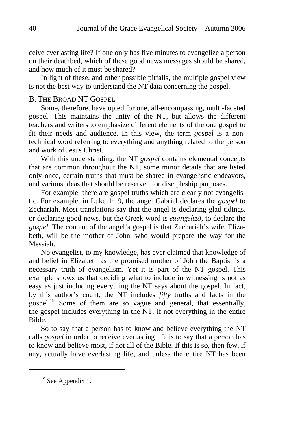ceive everlasting life? If one only has five minutes to evangelize a person on their deathbed, which of these good news messages should be shared, and how much of it must be shared?

In light of these, and other possible pitfalls, the multiple gospel view is not the best way to understand the NT data concerning the gospel.

### B. THE BROAD NT GOSPEL

Some, therefore, have opted for one, all-encompassing, multi-faceted gospel. This maintains the unity of the NT, but allows the different teachers and writers to emphasize different elements of the one gospel to fit their needs and audience. In this view, the term *gospel* is a nontechnical word referring to everything and anything related to the person and work of Jesus Christ.

With this understanding, the NT *gospel* contains elemental concepts that are common throughout the NT, some minor details that are listed only once, certain truths that must be shared in evangelistic endeavors, and various ideas that should be reserved for discipleship purposes.

For example, there are gospel truths which are clearly not evangelistic. For example, in Luke 1:19, the angel Gabriel declares the *gospel* to Zechariah. Most translations say that the angel is declaring glad tidings, or declaring good news, but the Greek word is *euangelizo*<sup>*,*</sup> to declare the *gospel*. The content of the angel's gospel is that Zechariah's wife, Elizabeth, will be the mother of John, who would prepare the way for the Messiah.

No evangelist, to my knowledge, has ever claimed that knowledge of and belief in Elizabeth as the promised mother of John the Baptist is a necessary truth of evangelism. Yet it is part of the NT gospel. This example shows us that deciding what to include in witnessing is not as easy as just including everything the NT says about the gospel. In fact, by this author's count, the NT includes *fifty* truths and facts in the gospel.19 Some of them are so vague and general, that essentially, the gospel includes everything in the NT, if not everything in the entire Bible.

So to say that a person has to know and believe everything the NT calls *gospel* in order to receive everlasting life is to say that a person has to know and believe most, if not all of the Bible. If this is so, then few, if any, actually have everlasting life, and unless the entire NT has been

<sup>&</sup>lt;sup>19</sup> See Appendix 1.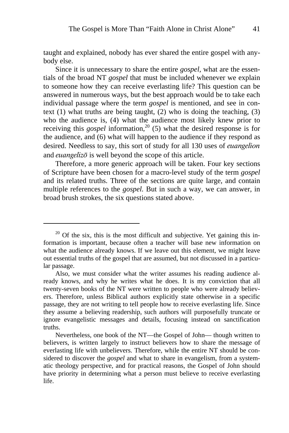taught and explained, nobody has ever shared the entire gospel with anybody else.

Since it is unnecessary to share the entire *gospel,* what are the essentials of the broad NT *gospel* that must be included whenever we explain to someone how they can receive everlasting life? This question can be answered in numerous ways, but the best approach would be to take each individual passage where the term *gospel* is mentioned, and see in context  $(1)$  what truths are being taught,  $(2)$  who is doing the teaching,  $(3)$ who the audience is, (4) what the audience most likely knew prior to receiving this *gospel* information,<sup>20</sup> (5) what the desired response is for the audience, and (6) what will happen to the audience if they respond as desired. Needless to say, this sort of study for all 130 uses of euangelion and *euangelizo* is well beyond the scope of this article.

Therefore, a more generic approach will be taken. Four key sections of Scripture have been chosen for a macro-level study of the term *gospel* and its related truths. Three of the sections are quite large, and contain multiple references to the *gospel.* But in such a way, we can answer, in broad brush strokes, the six questions stated above.

 $20$  Of the six, this is the most difficult and subjective. Yet gaining this information is important, because often a teacher will base new information on what the audience already knows. If we leave out this element, we might leave out essential truths of the gospel that are assumed, but not discussed in a particular passage.

Also, we must consider what the writer assumes his reading audience already knows, and why he writes what he does. It is my conviction that all twenty-seven books of the NT were written to people who were already believers. Therefore, unless Biblical authors explicitly state otherwise in a specific passage, they are not writing to tell people how to receive everlasting life. Since they assume a believing readership, such authors will purposefully truncate or ignore evangelistic messages and details, focusing instead on sanctification truths.

Nevertheless, one book of the NT—the Gospel of John— though written to believers, is written largely to instruct believers how to share the message of everlasting life with unbelievers. Therefore, while the entire NT should be considered to discover the *gospel* and what to share in evangelism, from a systematic theology perspective, and for practical reasons, the Gospel of John should have priority in determining what a person must believe to receive everlasting life.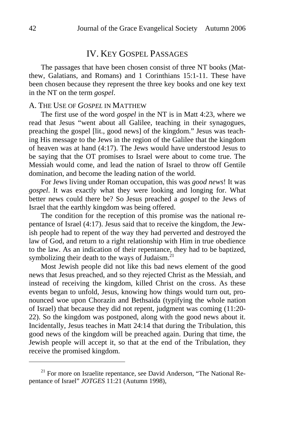### IV. KEY GOSPEL PASSAGES

The passages that have been chosen consist of three NT books (Matthew, Galatians, and Romans) and 1 Corinthians 15:1-11. These have been chosen because they represent the three key books and one key text in the NT on the term *gospel*.

### A. THE USE OF *GOSPEL* IN MATTHEW

The first use of the word *gospel* in the NT is in Matt 4:23, where we read that Jesus "went about all Galilee, teaching in their synagogues, preaching the gospel [lit., good news] of the kingdom." Jesus was teaching His message to the Jews in the region of the Galilee that the kingdom of heaven was at hand (4:17). The Jews would have understood Jesus to be saying that the OT promises to Israel were about to come true. The Messiah would come, and lead the nation of Israel to throw off Gentile domination, and become the leading nation of the world.

For Jews living under Roman occupation, this was *good news*! It was *gospel*. It was exactly what they were looking and longing for. What better news could there be? So Jesus preached a *gospel* to the Jews of Israel that the earthly kingdom was being offered.

The condition for the reception of this promise was the national repentance of Israel (4:17). Jesus said that to receive the kingdom, the Jewish people had to repent of the way they had perverted and destroyed the law of God, and return to a right relationship with Him in true obedience to the law. As an indication of their repentance, they had to be baptized, symbolizing their death to the ways of Judaism.<sup>21</sup>

Most Jewish people did not like this bad news element of the good news that Jesus preached, and so they rejected Christ as the Messiah, and instead of receiving the kingdom, killed Christ on the cross. As these events began to unfold, Jesus, knowing how things would turn out, pronounced woe upon Chorazin and Bethsaida (typifying the whole nation of Israel) that because they did not repent, judgment was coming (11:20- 22). So the kingdom was postponed, along with the good news about it. Incidentally, Jesus teaches in Matt 24:14 that during the Tribulation, this good news of the kingdom will be preached again. During that time, the Jewish people will accept it, so that at the end of the Tribulation, they receive the promised kingdom.

 $21$  For more on Israelite repentance, see David Anderson, "The National Repentance of Israel" *JOTGES* 11:21 (Autumn 1998),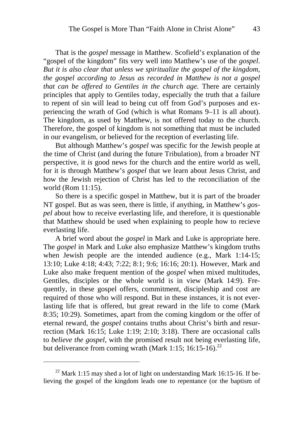That is the *gospel* message in Matthew. Scofield's explanation of the "gospel of the kingdom" fits very well into Matthew's use of the *gospel*. *But it is also clear that unless we spiritualize the gospel of the kingdom, the gospel according to Jesus as recorded in Matthew is not a gospel that can be offered to Gentiles in the church age.* There are certainly principles that apply to Gentiles today, especially the truth that a failure to repent of sin will lead to being cut off from God's purposes and experiencing the wrath of God (which is what Romans 9–11 is all about). The kingdom, as used by Matthew, is not offered today to the church. Therefore, the gospel of kingdom is not something that must be included in our evangelism, or believed for the reception of everlasting life.

But although Matthew's *gospel* was specific for the Jewish people at the time of Christ (and during the future Tribulation), from a broader NT perspective, it *is* good news for the church and the entire world as well, for it is through Matthew's *gospel* that we learn about Jesus Christ, and how the Jewish rejection of Christ has led to the reconciliation of the world (Rom 11:15).

So there is a specific gospel in Matthew, but it is part of the broader NT gospel. But as was seen, there is little, if anything, in Matthew's *gospel* about how to receive everlasting life, and therefore, it is questionable that Matthew should be used when explaining to people how to recieve everlasting life.

A brief word about the *gospel* in Mark and Luke is appropriate here. The *gospel* in Mark and Luke also emphasize Matthew's kingdom truths when Jewish people are the intended audience (e.g., Mark 1:14-15; 13:10; Luke 4:18; 4:43; 7:22; 8:1; 9:6; 16:16; 20:1). However, Mark and Luke also make frequent mention of the *gospel* when mixed multitudes, Gentiles, disciples or the whole world is in view (Mark 14:9). Frequently, in these gospel offers, commitment, discipleship and cost are required of those who will respond. But in these instances, it is not everlasting life that is offered, but great reward in the life to come (Mark 8:35; 10:29). Sometimes, apart from the coming kingdom or the offer of eternal reward, the *gospel* contains truths about Christ's birth and resurrection (Mark 16:15; Luke 1:19; 2:10; 3:18). There are occasional calls to *believe the gospel*, with the promised result not being everlasting life, but deliverance from coming wrath (Mark 1:15; 16:15-16).<sup>22</sup>

 $^{22}$  Mark 1:15 may shed a lot of light on understanding Mark 16:15-16. If believing the gospel of the kingdom leads one to repentance (or the baptism of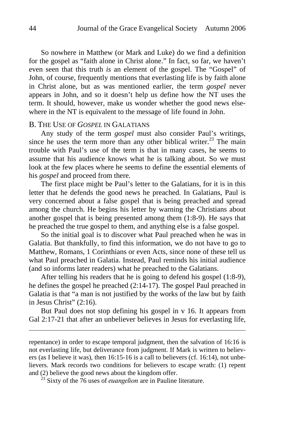So nowhere in Matthew (or Mark and Luke) do we find a definition for the gospel as "faith alone in Christ alone." In fact, so far, we haven't even seen that this truth *is* an element of the gospel. The "Gospel" of John, of course, frequently mentions that everlasting life is by faith alone in Christ alone, but as was mentioned earlier, the term *gospel* never appears in John, and so it doesn't help us define how the NT uses the term. It should, however, make us wonder whether the good news elsewhere in the NT is equivalent to the message of life found in John.

### B. THE USE OF *GOSPEL* IN GALATIANS

Any study of the term *gospel* must also consider Paul's writings, since he uses the term more than any other biblical writer.<sup>23</sup> The main trouble with Paul's use of the term is that in many cases, he seems to assume that his audience knows what he is talking about. So we must look at the few places where he seems to define the essential elements of his *gospel* and proceed from there.

The first place might be Paul's letter to the Galatians, for it is in this letter that he defends the good news he preached. In Galatians, Paul is very concerned about a false gospel that is being preached and spread among the church. He begins his letter by warning the Christians about another gospel that is being presented among them (1:8-9). He says that he preached the true gospel to them, and anything else is a false gospel.

So the initial goal is to discover what Paul preached when he was in Galatia. But thankfully, to find this information, we do not have to go to Matthew, Romans, 1 Corinthians or even Acts, since none of these tell us what Paul preached in Galatia. Instead, Paul reminds his initial audience (and so informs later readers) what he preached to the Galatians.

After telling his readers that he is going to defend his gospel (1:8-9), he defines the gospel he preached (2:14-17). The gospel Paul preached in Galatia is that "a man is not justified by the works of the law but by faith in Jesus Christ" (2:16).

But Paul does not stop defining his gospel in v 16. It appears from Gal 2:17-21 that after an unbeliever believes in Jesus for everlasting life,

repentance) in order to escape temporal judgment, then the salvation of 16:16 is not everlasting life, but deliverance from judgment. If Mark is written to believers (as I believe it was), then 16:15-16 is a call to believers (cf. 16:14), not unbelievers. Mark records two conditions for believers to escape wrath: (1) repent and (2) believe the good news about the kingdom offer.<br><sup>23</sup> Sixty of the 76 uses of *euangelion* are in Pauline literature.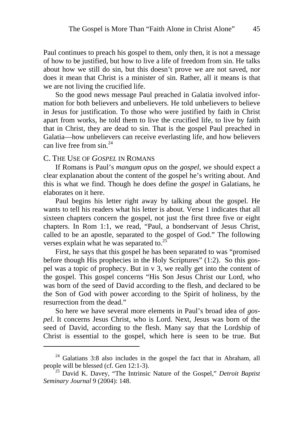Paul continues to preach his gospel to them, only then, it is not a message of how to be justified, but how to live a life of freedom from sin. He talks about how we still do sin, but this doesn't prove we are not saved, nor does it mean that Christ is a minister of sin. Rather, all it means is that we are not living the crucified life.

So the good news message Paul preached in Galatia involved information for both believers and unbelievers. He told unbelievers to believe in Jesus for justification. To those who were justified by faith in Christ apart from works, he told them to live the crucified life, to live by faith that in Christ, they are dead to sin. That is the gospel Paul preached in Galatia—how unbelievers can receive everlasting life, and how believers can live free from  $\sin^{24}$ 

#### C. THE USE OF *GOSPEL* IN ROMANS

 $\overline{a}$ 

If Romans is Paul's *mangum opus* on the *gospel*, we should expect a clear explanation about the content of the gospel he's writing about. And this is what we find. Though he does define the *gospel* in Galatians, he elaborates on it here.

Paul begins his letter right away by talking about the gospel. He wants to tell his readers what his letter is about. Verse 1 indicates that all sixteen chapters concern the gospel, not just the first three five or eight chapters. In Rom 1:1, we read, "Paul, a bondservant of Jesus Christ, called to be an apostle, separated to the gospel of God." The following verses explain what he was separated to. $25$ 

First, he says that this gospel he has been separated to was "promised before though His prophecies in the Holy Scriptures" (1:2). So this gospel was a topic of prophecy. But in v 3, we really get into the content of the gospel. This gospel concerns "His Son Jesus Christ our Lord, who was born of the seed of David according to the flesh, and declared to be the Son of God with power according to the Spirit of holiness, by the resurrection from the dead."

So here we have several more elements in Paul's broad idea of *gospel*. It concerns Jesus Christ, who is Lord. Next, Jesus was born of the seed of David, according to the flesh. Many say that the Lordship of Christ is essential to the gospel, which here is seen to be true. But

 $24$  Galatians 3:8 also includes in the gospel the fact that in Abraham, all people will be blessed (cf. Gen 12:1-3). 25 David K. Davey, "The Intrinsic Nature of the Gospel," *Detroit Baptist* 

*Seminary Journal* 9 (2004): 148.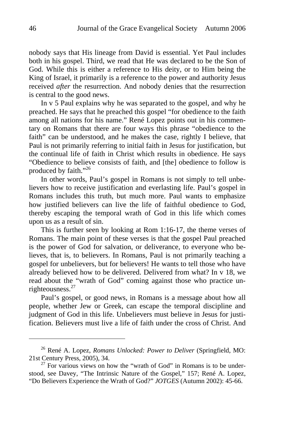nobody says that His lineage from David is essential. Yet Paul includes both in his gospel. Third, we read that He was declared to be the Son of God. While this is either a reference to His deity, or to Him being the King of Israel, it primarily is a reference to the power and authority Jesus received *after* the resurrection. And nobody denies that the resurrection is central to the good news.

In v 5 Paul explains why he was separated to the gospel, and why he preached. He says that he preached this gospel "for obedience to the faith among all nations for his name." René Lopez points out in his commentary on Romans that there are four ways this phrase "obedience to the faith" can be understood, and he makes the case, rightly I believe, that Paul is not primarily referring to initial faith in Jesus for justification, but the continual life of faith in Christ which results in obedience. He says "Obedience to believe consists of faith, and [the] obedience to follow is produced by faith."<sup>26</sup>

In other words, Paul's gospel in Romans is not simply to tell unbelievers how to receive justification and everlasting life. Paul's gospel in Romans includes this truth, but much more. Paul wants to emphasize how justified believers can live the life of faithful obedience to God, thereby escaping the temporal wrath of God in this life which comes upon us as a result of sin.

This is further seen by looking at Rom 1:16-17, the theme verses of Romans. The main point of these verses is that the gospel Paul preached is the power of God for salvation, or deliverance, to everyone who believes, that is, to believers. In Romans, Paul is not primarily teaching a gospel for unbelievers, but for believers! He wants to tell those who have already believed how to be delivered. Delivered from what? In v 18, we read about the "wrath of God" coming against those who practice unrighteousness. $27$ 

Paul's gospel, or good news, in Romans is a message about how all people, whether Jew or Greek, can escape the temporal discipline and judgment of God in this life. Unbelievers must believe in Jesus for justification. Believers must live a life of faith under the cross of Christ. And

<sup>26</sup> René A. Lopez, *Romans Unlocked: Power to Deliver* (Springfield, MO: 21st Century Press, 2005), 34.  $^{27}$  For various views on how the "wrath of God" in Romans is to be under-

stood, see Davey, "The Intrinsic Nature of the Gospel," 157; René A. Lopez, "Do Believers Experience the Wrath of God?" *JOTGES* (Autumn 2002): 45-66.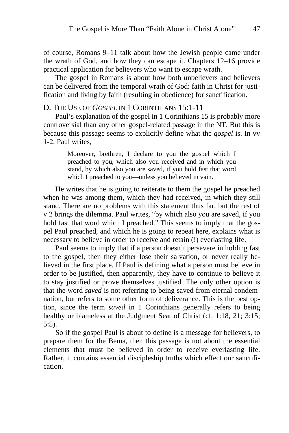of course, Romans 9–11 talk about how the Jewish people came under the wrath of God, and how they can escape it. Chapters 12–16 provide practical application for believers who want to escape wrath.

The gospel in Romans is about how both unbelievers and believers can be delivered from the temporal wrath of God: faith in Christ for justification and living by faith (resulting in obedience) for sanctification.

### D. THE USE OF *GOSPEL* IN 1 CORINTHIANS 15:1-11

Paul's explanation of the gospel in 1 Corinthians 15 is probably more controversial than any other gospel-related passage in the NT. But this is because this passage seems to explicitly define what the *gospel* is. In vv 1-2, Paul writes,

> Moreover, brethren, I declare to you the gospel which I preached to you, which also you received and in which you stand, by which also you are saved, if you hold fast that word which I preached to you—unless you believed in vain.

He writes that he is going to reiterate to them the gospel he preached when he was among them, which they had received, in which they still stand. There are no problems with this statement thus far, but the rest of v 2 brings the dilemma. Paul writes, "by which also you are saved, if you hold fast that word which I preached." This seems to imply that the gospel Paul preached, and which he is going to repeat here, explains what is necessary to believe in order to receive and retain (!) everlasting life.

Paul seems to imply that if a person doesn't persevere in holding fast to the gospel, then they either lose their salvation, or never really believed in the first place. If Paul is defining what a person must believe in order to be justified, then apparently, they have to continue to believe it to stay justified or prove themselves justified. The only other option is that the word *saved* is not referring to being saved from eternal condemnation, but refers to some other form of deliverance. This is the best option, since the term *saved* in 1 Corinthians generally refers to being healthy or blameless at the Judgment Seat of Christ (cf. 1:18, 21; 3:15; 5:5).

So if the gospel Paul is about to define is a message for believers, to prepare them for the Bema, then this passage is not about the essential elements that must be believed in order to receive everlasting life. Rather, it contains essential discipleship truths which effect our sanctification.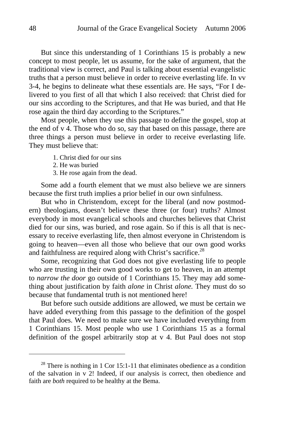But since this understanding of 1 Corinthians 15 is probably a new concept to most people, let us assume, for the sake of argument, that the traditional view is correct, and Paul is talking about essential evangelistic truths that a person must believe in order to receive everlasting life. In vv 3-4, he begins to delineate what these essentials are. He says, "For I delivered to you first of all that which I also received: that Christ died for our sins according to the Scriptures, and that He was buried, and that He rose again the third day according to the Scriptures."

Most people, when they use this passage to define the gospel, stop at the end of v 4. Those who do so, say that based on this passage, there are three things a person must believe in order to receive everlasting life. They must believe that:

- 1. Christ died for our sins
- 2. He was buried
- 3. He rose again from the dead.

Some add a fourth element that we must also believe we are sinners because the first truth implies a prior belief in our own sinfulness.

But who in Christendom, except for the liberal (and now postmodern) theologians, doesn't believe these three (or four) truths? Almost everybody in most evangelical schools and churches believes that Christ died for our sins, was buried, and rose again. So if this is all that is necessary to receive everlasting life, then almost everyone in Christendom is going to heaven—even all those who believe that our own good works and faithfulness are required along with Christ's sacrifice.<sup>28</sup>

Some, recognizing that God does not give everlasting life to people who are trusting in their own good works to get to heaven, in an attempt to *narrow the door* go outside of 1 Corinthians 15. They may add something about justification by faith *alone* in Christ *alone.* They must do so because that fundamental truth is not mentioned here!

But before such outside additions are allowed, we must be certain we have added everything from this passage to the definition of the gospel that Paul does. We need to make sure we have included everything from 1 Corinthians 15. Most people who use 1 Corinthians 15 as a formal definition of the gospel arbitrarily stop at v 4. But Paul does not stop

 $^{28}$  There is nothing in 1 Cor 15:1-11 that eliminates obedience as a condition of the salvation in v 2! Indeed, if our analysis is correct, then obedience and faith are *both* required to be healthy at the Bema.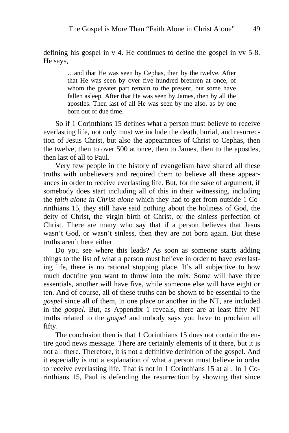defining his gospel in v 4. He continues to define the gospel in vv 5-8. He says,

> …and that He was seen by Cephas, then by the twelve. After that He was seen by over five hundred brethren at once, of whom the greater part remain to the present, but some have fallen asleep. After that He was seen by James, then by all the apostles. Then last of all He was seen by me also, as by one born out of due time.

So if 1 Corinthians 15 defines what a person must believe to receive everlasting life, not only must we include the death, burial, and resurrection of Jesus Christ, but also the appearances of Christ to Cephas, then the twelve, then to over 500 at once, then to James, then to the apostles, then last of all to Paul.

Very few people in the history of evangelism have shared all these truths with unbelievers and required them to believe all these appearances in order to receive everlasting life. But, for the sake of argument, if somebody does start including all of this in their witnessing, including the *faith alone in Christ alone* which they had to get from outside 1 Corinthians 15, they still have said nothing about the holiness of God, the deity of Christ, the virgin birth of Christ, or the sinless perfection of Christ. There are many who say that if a person believes that Jesus wasn't God, or wasn't sinless, then they are not born again. But these truths aren't here either.

Do you see where this leads? As soon as someone starts adding things to the list of what a person must believe in order to have everlasting life, there is no rational stopping place. It's all subjective to how much doctrine you want to throw into the mix. Some will have three essentials, another will have five, while someone else will have eight or ten. And of course, all of these truths can be shown to be essential to the *gospel* since all of them, in one place or another in the NT, are included in the *gospel*. But, as Appendix 1 reveals, there are at least fifty NT truths related to the *gospel* and nobody says you have to proclaim all fifty.

The conclusion then is that 1 Corinthians 15 does not contain the entire good news message. There are certainly elements of it there, but it is not all there. Therefore, it is not a definitive definition of the gospel. And it especially is not a explanation of what a person must believe in order to receive everlasting life. That is not in 1 Corinthians 15 at all. In 1 Corinthians 15, Paul is defending the resurrection by showing that since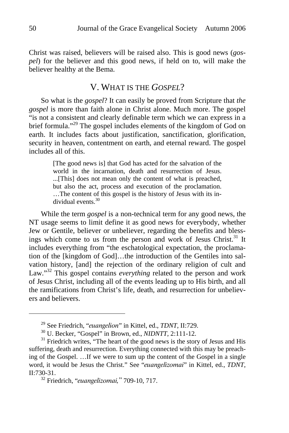Christ was raised, believers will be raised also. This is good news (*gospel*) for the believer and this good news, if held on to, will make the believer healthy at the Bema.

### V. WHAT IS THE *GOSPEL*?

So what is the *gospel*? It can easily be proved from Scripture that *the gospel* is more than faith alone in Christ alone. Much more. The gospel "is not a consistent and clearly definable term which we can express in a brief formula."<sup>29</sup> The gospel includes elements of the kingdom of God on earth. It includes facts about justification, sanctification, glorification, security in heaven, contentment on earth, and eternal reward. The gospel includes all of this.

> [The good news is] that God has acted for the salvation of the world in the incarnation, death and resurrection of Jesus. ...[This] does not mean only the content of what is preached, but also the act, process and execution of the proclamation. …The content of this gospel is the history of Jesus with its individual events.30

While the term *gospel* is a non-technical term for any good news, the NT usage seems to limit define it as good news for everybody, whether Jew or Gentile, believer or unbeliever, regarding the benefits and blessings which come to us from the person and work of Jesus Christ.<sup>31</sup> It includes everything from "the eschatological expectation, the proclamation of the [kingdom of God]…the introduction of the Gentiles into salvation history, [and] the rejection of the ordinary religion of cult and Law."<sup>32</sup> This gospel contains *everything* related to the person and work of Jesus Christ, including all of the events leading up to His birth, and all the ramifications from Christ's life, death, and resurrection for unbelievers and believers.

<sup>&</sup>lt;sup>29</sup> See Friedrich, "*euangelion*" in Kittel, ed., *TDNT*, II:729.<br><sup>30</sup> U. Becker, "Gospel" in Brown, ed., *NIDNTT*, 2:111-12.<br><sup>31</sup> Friedrich writes, "The heart of the good news is the story of Jesus and His suffering, death and resurrection. Everything connected with this may be preaching of the Gospel. …If we were to sum up the content of the Gospel in a single word, it would be Jesus the Christ." See "euangelizomai" in Kittel, ed., *TDNT*, II:730-31. 32 Friedrich, "euangelizomai," 709-10, 717.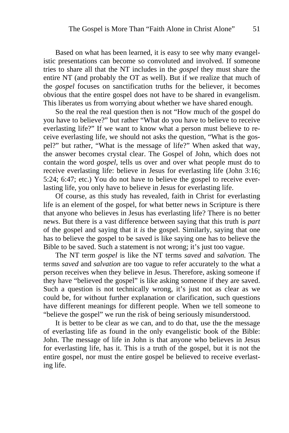Based on what has been learned, it is easy to see why many evangelistic presentations can become so convoluted and involved. If someone tries to share all that the NT includes in the *gospel* they must share the entire NT (and probably the OT as well). But if we realize that much of the *gospel* focuses on sanctification truths for the believer, it becomes obvious that the entire gospel does not have to be shared in evangelism. This liberates us from worrying about whether we have shared enough.

So the real the real question then is not "How much of the gospel do you have to believe?" but rather "What do you have to believe to receive everlasting life?" If we want to know what a person must believe to receive everlasting life, we should not asks the question, "What is the gospel?" but rather, "What is the message of life?" When asked that way, the answer becomes crystal clear. The Gospel of John, which does not contain the word *gospel,* tells us over and over what people must do to receive everlasting life: believe in Jesus for everlasting life (John 3:16; 5:24; 6:47; etc.) You do not have to believe the gospel to receive everlasting life, you only have to believe in Jesus for everlasting life.

Of course, as this study has revealed, faith in Christ for everlasting life is an element of the gospel, for what better news in Scripture is there that anyone who believes in Jesus has everlasting life? There is no better news. But there is a vast difference between saying that this truth is *part*  of the gospel and saying that it *is* the gospel. Similarly, saying that one has to believe the gospel to be saved is like saying one has to believe the Bible to be saved. Such a statement is not wrong; it's just too vague.

The NT term *gospel* is like the NT terms *saved* and *salvation.* The terms *saved* and *salvation* are too vague to refer accurately to the what a person receives when they believe in Jesus. Therefore, asking someone if they have "believed the gospel" is like asking someone if they are saved. Such a question is not technically wrong, it's just not as clear as we could be, for without further explanation or clarification, such questions have different meanings for different people. When we tell someone to "believe the gospel" we run the risk of being seriously misunderstood.

It is better to be clear as we can, and to do that, use the the message of everlasting life as found in the only evangelistic book of the Bible: John. The message of life in John is that anyone who believes in Jesus for everlasting life, has it. This is a truth of the gospel, but it is not the entire gospel, nor must the entire gospel be believed to receive everlasting life.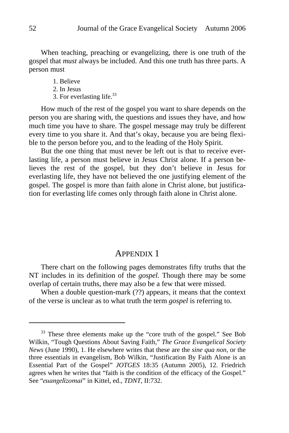When teaching, preaching or evangelizing, there is one truth of the gospel that *must* always be included. And this one truth has three parts. A person must

> 1. Believe 2. In Jesus 3. For everlasting life.<sup>33</sup>

How much of the rest of the gospel you want to share depends on the person you are sharing with, the questions and issues they have, and how much time you have to share. The gospel message may truly be different every time to you share it. And that's okay, because you are being flexible to the person before you, and to the leading of the Holy Spirit.

But the one thing that must never be left out is that to receive everlasting life, a person must believe in Jesus Christ alone. If a person believes the rest of the gospel, but they don't believe in Jesus for everlasting life, they have not believed the one justifying element of the gospel. The gospel is more than faith alone in Christ alone, but justification for everlasting life comes only through faith alone in Christ alone.

### APPENDIX 1

There chart on the following pages demonstrates fifty truths that the NT includes in its definition of the *gospel.* Though there may be some overlap of certain truths, there may also be a few that were missed.

When a double question-mark (??) appears, it means that the context of the verse is unclear as to what truth the term *gospel* is referring to.

<sup>&</sup>lt;sup>33</sup> These three elements make up the "core truth of the gospel." See Bob Wilkin, "Tough Questions About Saving Faith," *The Grace Evangelical Society News* (June 1990), 1. He elsewhere writes that these are the *sine qua non,* or the three essentials in evangelism, Bob Wilkin, "Justification By Faith Alone is an Essential Part of the Gospel" *JOTGES* 18:35 (Autumn 2005), 12. Friedrich agrees when he writes that "faith is the condition of the efficacy of the Gospel." See "euangelizomai" in Kittel, ed., *TDNT*, II:732.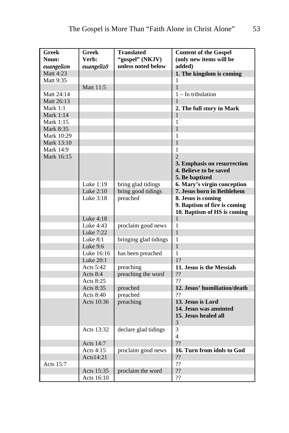| <b>Greek</b>     | <b>Greek</b> | <b>Translated</b>     | <b>Content of the Gospel</b> |
|------------------|--------------|-----------------------|------------------------------|
| Noun:            | Verb:        | "gospel" (NKJV)       | (only new items will be      |
| euangelion       | euangelizō   | unless noted below    | added)                       |
| Matt 4:23        |              |                       | 1. The kingdom is coming     |
| Matt 9:35        |              |                       | 1                            |
|                  | Matt 11:5    |                       | $\mathbf{1}$                 |
| Matt 24:14       |              |                       | $1 - In$ tribulation         |
| Matt 26:13       |              |                       | $\mathbf{1}$                 |
| Mark 1:1         |              |                       | 2. The full story in Mark    |
| Mark 1:14        |              |                       | 1                            |
| Mark 1:15        |              |                       | 1                            |
| <b>Mark 8:35</b> |              |                       | $\mathbf{1}$                 |
| Mark 10:29       |              |                       | 1                            |
| Mark 13:10       |              |                       | $\mathbf{1}$                 |
| Mark 14:9        |              |                       | $\mathbf{1}$                 |
| Mark 16:15       |              |                       | $\mathcal{D}_{\mathcal{L}}$  |
|                  |              |                       | 3. Emphasis on resurrection  |
|                  |              |                       | 4. Believe to be saved       |
|                  |              |                       | 5. Be baptized               |
|                  | Luke 1:19    | bring glad tidings    | 6. Mary's virgin conception  |
|                  | Luke 2:10    | bring good tidings    | 7. Jesus born in Bethlehem   |
|                  | Luke 3:18    | preached              | 8. Jesus is coming           |
|                  |              |                       | 9. Baptism of fire is coming |
|                  |              |                       | 10. Baptism of HS is coming  |
|                  | Luke 4:18    |                       | $\mathbf{1}$                 |
|                  | Luke 4:43    | proclaim good news    | 1                            |
|                  | Luke 7:22    |                       | $\mathbf{1}$                 |
|                  | Luke $8:1$   | bringing glad tidings | 1                            |
|                  | Luke 9:6     |                       | 1                            |
|                  | Luke 16:16   | has been preached     | 1                            |
|                  | Luke 20:1    |                       | 1?                           |
|                  | Acts 5:42    | preaching             | 11. Jesus is the Messiah     |
|                  | Acts $8:4$   | preaching the word    | ??                           |
|                  | Acts 8:25    |                       | ??                           |
|                  | Acts 8:35    | preached              | 12. Jesus' humiliation/death |
|                  | Acts 8:40    | preached              | ??                           |
|                  | Acts 10:36   | preaching             | 13. Jesus is Lord            |
|                  |              |                       | 14. Jesus was anointed       |
|                  |              |                       | 15. Jesus healed all         |
|                  |              |                       | 3                            |
|                  | Acts 13:32   | declare glad tidings  | 3                            |
|                  |              |                       | $\overline{4}$               |
|                  | Acts 14:7    |                       | ??                           |
|                  | Acts 4:15    | proclaim good news    | 16. Turn from idols to God   |
|                  | Acts14:21    |                       | 22                           |
| Acts 15:7        |              |                       | ??                           |
|                  | Acts 15:35   | proclaim the word     | 22                           |
|                  | Acts 16:10   |                       | ??                           |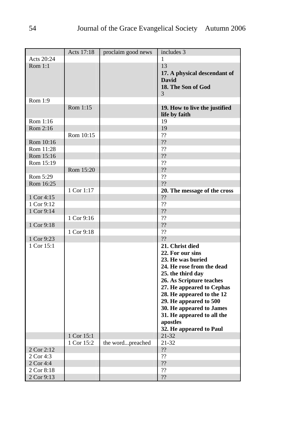|            | Acts 17:18 | proclaim good news | includes 3                                                                                                                                                                                                                                                                                                                  |
|------------|------------|--------------------|-----------------------------------------------------------------------------------------------------------------------------------------------------------------------------------------------------------------------------------------------------------------------------------------------------------------------------|
| Acts 20:24 |            |                    | 1                                                                                                                                                                                                                                                                                                                           |
| Rom 1:1    |            |                    | 13<br>17. A physical descendant of<br><b>David</b><br>18. The Son of God<br>3                                                                                                                                                                                                                                               |
| Rom 1:9    |            |                    |                                                                                                                                                                                                                                                                                                                             |
|            | Rom 1:15   |                    | 19. How to live the justified<br>life by faith                                                                                                                                                                                                                                                                              |
| Rom 1:16   |            |                    | 19                                                                                                                                                                                                                                                                                                                          |
| Rom 2:16   |            |                    | 19                                                                                                                                                                                                                                                                                                                          |
|            | Rom 10:15  |                    | ??                                                                                                                                                                                                                                                                                                                          |
| Rom 10:16  |            |                    | ??                                                                                                                                                                                                                                                                                                                          |
| Rom 11:28  |            |                    | ??                                                                                                                                                                                                                                                                                                                          |
| Rom 15:16  |            |                    | ??                                                                                                                                                                                                                                                                                                                          |
| Rom 15:19  |            |                    | ??                                                                                                                                                                                                                                                                                                                          |
|            | Rom 15:20  |                    | 22                                                                                                                                                                                                                                                                                                                          |
| Rom 5:29   |            |                    | ??                                                                                                                                                                                                                                                                                                                          |
| Rom 16:25  |            |                    | ??                                                                                                                                                                                                                                                                                                                          |
|            | 1 Cor 1:17 |                    | 20. The message of the cross                                                                                                                                                                                                                                                                                                |
| 1 Cor 4:15 |            |                    | ??                                                                                                                                                                                                                                                                                                                          |
| 1 Cor 9:12 |            |                    | ??                                                                                                                                                                                                                                                                                                                          |
| 1 Cor 9:14 |            |                    | ??                                                                                                                                                                                                                                                                                                                          |
|            | 1 Cor 9:16 |                    | ??                                                                                                                                                                                                                                                                                                                          |
| 1 Cor 9:18 |            |                    | ??                                                                                                                                                                                                                                                                                                                          |
|            | 1 Cor 9:18 |                    | ??                                                                                                                                                                                                                                                                                                                          |
| 1 Cor 9:23 |            |                    | ??                                                                                                                                                                                                                                                                                                                          |
| 1 Cor 15:1 |            |                    | 21. Christ died<br>22. For our sins<br>23. He was buried<br>24. He rose from the dead<br>25. the third day<br>26. As Scripture teaches<br>27. He appeared to Cephas<br>28. He appeared to the 12<br>29. He appeared to 500<br>30. He appeared to James<br>31. He appeared to all the<br>apostles<br>32. He appeared to Paul |
|            | 1 Cor 15:1 |                    | 21-32                                                                                                                                                                                                                                                                                                                       |
|            | 1 Cor 15:2 | the wordpreached   | 21-32                                                                                                                                                                                                                                                                                                                       |
| 2 Cor 2:12 |            |                    | $\boldsymbol ?\boldsymbol ?$                                                                                                                                                                                                                                                                                                |
| 2 Cor 4:3  |            |                    | ??                                                                                                                                                                                                                                                                                                                          |
| 2 Cor 4:4  |            |                    | ??                                                                                                                                                                                                                                                                                                                          |
| 2 Cor 8:18 |            |                    | ??                                                                                                                                                                                                                                                                                                                          |
| 2 Cor 9:13 |            |                    | ??                                                                                                                                                                                                                                                                                                                          |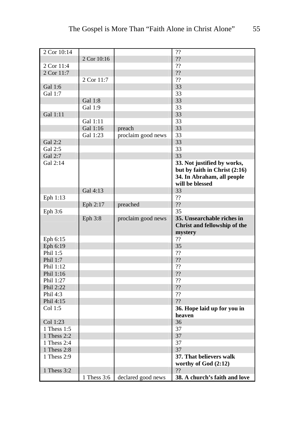| 2 Cor 10:14 |             |                    | ??                            |
|-------------|-------------|--------------------|-------------------------------|
|             | 2 Cor 10:16 |                    | ??                            |
| 2 Cor 11:4  |             |                    | ??                            |
| 2 Cor 11:7  |             |                    | 22                            |
|             | 2 Cor 11:7  |                    | ??                            |
|             |             |                    |                               |
| Gal 1:6     |             |                    | 33                            |
| Gal 1:7     |             |                    | 33                            |
|             | Gal 1:8     |                    | 33                            |
|             | Gal 1:9     |                    | 33                            |
| Gal 1:11    |             |                    | 33                            |
|             | Gal 1:11    |                    | 33                            |
|             | Gal 1:16    | preach             | 33                            |
|             | Gal 1:23    | proclaim good news | 33                            |
| Gal 2:2     |             |                    | 33                            |
| Gal 2:5     |             |                    | 33                            |
| Gal 2:7     |             |                    | 33                            |
| Gal 2:14    |             |                    | 33. Not justified by works,   |
|             |             |                    | but by faith in Christ (2:16) |
|             |             |                    | 34. In Abraham, all people    |
|             |             |                    | will be blessed               |
|             | Gal 4:13    |                    | 33                            |
|             |             |                    | ??                            |
| Eph 1:13    |             |                    |                               |
|             | Eph 2:17    | preached           | ??                            |
| Eph 3:6     |             |                    | 35                            |
|             | Eph 3:8     | proclaim good news | 35. Unsearchable riches in    |
|             |             |                    | Christ and fellowship of the  |
|             |             |                    | mystery                       |
| Eph 6:15    |             |                    | ??                            |
| Eph 6:19    |             |                    | 35                            |
| Phil 1:5    |             |                    | ??                            |
| Phil 1:7    |             |                    | ??                            |
| Phil 1:12   |             |                    | ??                            |
| Phil 1:16   |             |                    | 22                            |
| Phil 1:27   |             |                    | ??                            |
| Phil 2:22   |             |                    | ??                            |
| Phil 4:3    |             |                    | ??                            |
| Phil 4:15   |             |                    | ??                            |
| Col 1:5     |             |                    | 36. Hope laid up for you in   |
|             |             |                    |                               |
|             |             |                    | heaven                        |
| Col 1:23    |             |                    | 36                            |
| 1 Thess 1:5 |             |                    | 37                            |
| 1 Thess 2:2 |             |                    | 37                            |
| 1 Thess 2:4 |             |                    | 37                            |
| 1 Thess 2:8 |             |                    | 37                            |
| 1 Thess 2:9 |             |                    | 37. That believers walk       |
|             |             |                    | worthy of God (2:12)          |
| 1 Thess 3:2 |             |                    | ??                            |
|             | 1 Thess 3:6 | declared good news | 38. A church's faith and love |